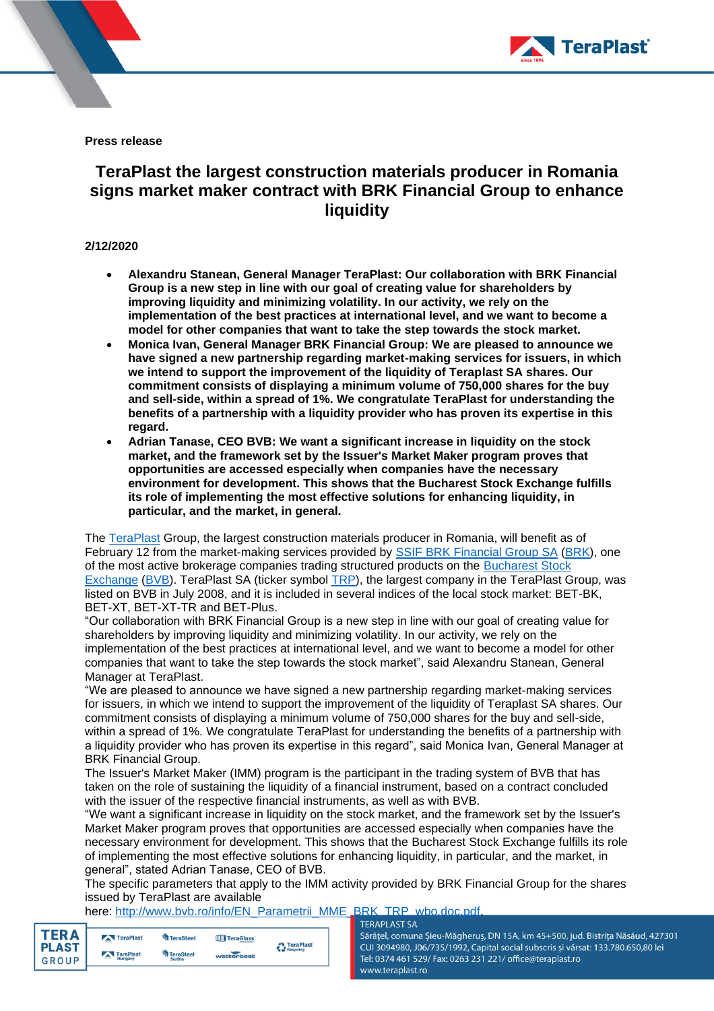

**Press release**

# **TeraPlast the largest construction materials producer in Romania signs market maker contract with BRK Financial Group to enhance liquidity**

## **2/12/2020**

- **Alexandru Stanean, General Manager TeraPlast: Our collaboration with BRK Financial Group is a new step in line with our goal of creating value for shareholders by improving liquidity and minimizing volatility. In our activity, we rely on the implementation of the best practices at international level, and we want to become a model for other companies that want to take the step towards the stock market.**
- **Monica Ivan, General Manager BRK Financial Group: We are pleased to announce we have signed a new partnership regarding market-making services for issuers, in which we intend to support the improvement of the liquidity of Teraplast SA shares. Our commitment consists of displaying a minimum volume of 750,000 shares for the buy and sell-side, within a spread of 1%. We congratulate TeraPlast for understanding the benefits of a partnership with a liquidity provider who has proven its expertise in this regard.**
- **Adrian Tanase, CEO BVB: We want a significant increase in liquidity on the stock market, and the framework set by the Issuer's Market Maker program proves that opportunities are accessed especially when companies have the necessary environment for development. This shows that the Bucharest Stock Exchange fulfills its role of implementing the most effective solutions for enhancing liquidity, in particular, and the market, in general.**

The [TeraPlast](https://www.teraplast.ro/) Group, the largest construction materials producer in Romania, will benefit as of February 12 from the market-making services provided by [SSIF BRK Financial Group SA](https://www.brkfinancialgroup.ro/index.html) [\(BRK\)](http://www.bvb.ro/FinancialInstruments/Details/FinancialInstrumentsDetails.aspx?s=BRK), one of the most active brokerage companies trading structured products on the [Bucharest Stock](http://www.bvb.ro/)  [Exchange](http://www.bvb.ro/) [\(BVB\)](http://www.bvb.ro/FinancialInstruments/Details/FinancialInstrumentsDetails.aspx?s=BVB). TeraPlast SA (ticker symbol [TRP\)](http://bvb.ro/FinancialInstruments/Details/FinancialInstrumentsDetails.aspx?s=TRP), the largest company in the TeraPlast Group, was listed on BVB in July 2008, and it is included in several indices of the local stock market: BET-BK, BET-XT, BET-XT-TR and BET-Plus.

"Our collaboration with BRK Financial Group is a new step in line with our goal of creating value for shareholders by improving liquidity and minimizing volatility. In our activity, we rely on the implementation of the best practices at international level, and we want to become a model for other companies that want to take the step towards the stock market", said Alexandru Stanean, General Manager at TeraPlast.

"We are pleased to announce we have signed a new partnership regarding market-making services for issuers, in which we intend to support the improvement of the liquidity of Teraplast SA shares. Our commitment consists of displaying a minimum volume of 750,000 shares for the buy and sell-side, within a spread of 1%. We congratulate TeraPlast for understanding the benefits of a partnership with a liquidity provider who has proven its expertise in this regard", said Monica Ivan, General Manager at BRK Financial Group.

The Issuer's Market Maker (IMM) program is the participant in the trading system of BVB that has taken on the role of sustaining the liquidity of a financial instrument, based on a contract concluded with the issuer of the respective financial instruments, as well as with BVB.

"We want a significant increase in liquidity on the stock market, and the framework set by the Issuer's Market Maker program proves that opportunities are accessed especially when companies have the necessary environment for development. This shows that the Bucharest Stock Exchange fulfills its role of implementing the most effective solutions for enhancing liquidity, in particular, and the market, in general", stated Adrian Tanase, CEO of BVB.

The specific parameters that apply to the IMM activity provided by BRK Financial Group for the shares issued by TeraPlast are available

here: [http://www.bvb.ro/info/EN\\_Parametrii\\_MME\\_BRK\\_TRP\\_wbo.doc.pdf.](http://www.bvb.ro/info/EN_Parametrii_MME_BRK_TRP_wbo.doc.pdf)<br>-

| <b>TERA</b>                  | TeraPlast            | <sup>L</sup> a TeraSteel          | TeraGlass  | <b>A</b> TeraPlast |
|------------------------------|----------------------|-----------------------------------|------------|--------------------|
| <b>PLAST</b><br><b>GROUP</b> | TeraPlast<br>Hungary | <b>TeraSteel</b><br><b>Serbia</b> | wetterbest | Recycling          |
|                              |                      |                                   |            |                    |

Sărățel, comuna Șieu-Măgheruș, DN 15A, km 45+500, jud. Bistrița Năsăud, 427301 CUI 3094980, J06/735/1992, Capital social subscris și vărsat: 133.780.650,80 lei Tel: 0374 461 529/ Fax: 0263 231 221/ office@teraplast.ro www.teraplast.ro